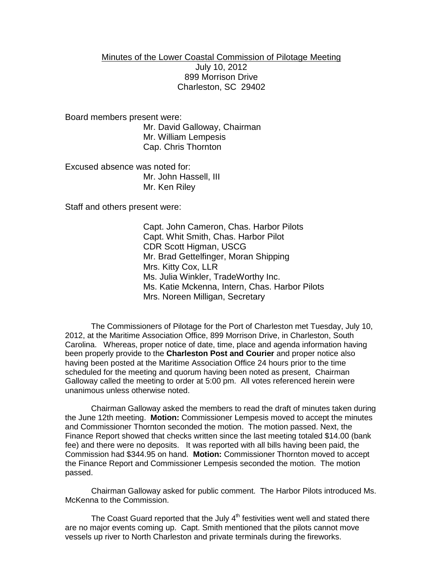## Minutes of the Lower Coastal Commission of Pilotage Meeting July 10, 2012 899 Morrison Drive Charleston, SC 29402

Board members present were:

Mr. David Galloway, Chairman Mr. William Lempesis Cap. Chris Thornton

Excused absence was noted for: Mr. John Hassell, III Mr. Ken Riley

Staff and others present were:

Capt. John Cameron, Chas. Harbor Pilots Capt. Whit Smith, Chas. Harbor Pilot CDR Scott Higman, USCG Mr. Brad Gettelfinger, Moran Shipping Mrs. Kitty Cox, LLR Ms. Julia Winkler, TradeWorthy Inc. Ms. Katie Mckenna, Intern, Chas. Harbor Pilots Mrs. Noreen Milligan, Secretary

The Commissioners of Pilotage for the Port of Charleston met Tuesday, July 10, 2012, at the Maritime Association Office, 899 Morrison Drive, in Charleston, South Carolina. Whereas, proper notice of date, time, place and agenda information having been properly provide to the **Charleston Post and Courier** and proper notice also having been posted at the Maritime Association Office 24 hours prior to the time scheduled for the meeting and quorum having been noted as present, Chairman Galloway called the meeting to order at 5:00 pm. All votes referenced herein were unanimous unless otherwise noted.

Chairman Galloway asked the members to read the draft of minutes taken during the June 12th meeting. **Motion:** Commissioner Lempesis moved to accept the minutes and Commissioner Thornton seconded the motion. The motion passed. Next, the Finance Report showed that checks written since the last meeting totaled \$14.00 (bank fee) and there were no deposits. It was reported with all bills having been paid, the Commission had \$344.95 on hand. **Motion:** Commissioner Thornton moved to accept the Finance Report and Commissioner Lempesis seconded the motion. The motion passed.

Chairman Galloway asked for public comment. The Harbor Pilots introduced Ms. McKenna to the Commission.

The Coast Guard reported that the July  $4<sup>th</sup>$  festivities went well and stated there are no major events coming up. Capt. Smith mentioned that the pilots cannot move vessels up river to North Charleston and private terminals during the fireworks.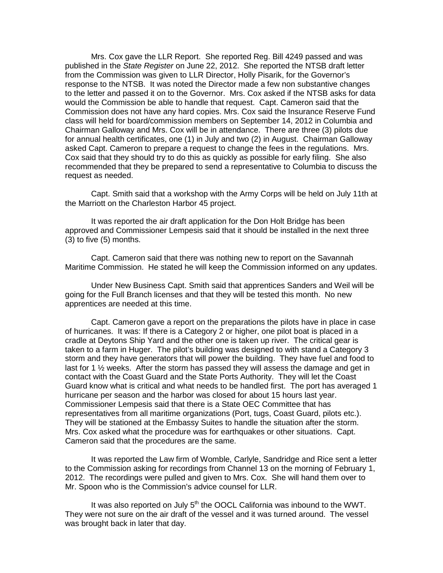Mrs. Cox gave the LLR Report. She reported Reg. Bill 4249 passed and was published in the *State Register* on June 22, 2012. She reported the NTSB draft letter from the Commission was given to LLR Director, Holly Pisarik, for the Governor's response to the NTSB. It was noted the Director made a few non substantive changes to the letter and passed it on to the Governor. Mrs. Cox asked if the NTSB asks for data would the Commission be able to handle that request. Capt. Cameron said that the Commission does not have any hard copies. Mrs. Cox said the Insurance Reserve Fund class will held for board/commission members on September 14, 2012 in Columbia and Chairman Galloway and Mrs. Cox will be in attendance. There are three (3) pilots due for annual health certificates, one (1) in July and two (2) in August. Chairman Galloway asked Capt. Cameron to prepare a request to change the fees in the regulations. Mrs. Cox said that they should try to do this as quickly as possible for early filing. She also recommended that they be prepared to send a representative to Columbia to discuss the request as needed.

Capt. Smith said that a workshop with the Army Corps will be held on July 11th at the Marriott on the Charleston Harbor 45 project.

It was reported the air draft application for the Don Holt Bridge has been approved and Commissioner Lempesis said that it should be installed in the next three (3) to five (5) months.

Capt. Cameron said that there was nothing new to report on the Savannah Maritime Commission. He stated he will keep the Commission informed on any updates.

Under New Business Capt. Smith said that apprentices Sanders and Weil will be going for the Full Branch licenses and that they will be tested this month. No new apprentices are needed at this time.

Capt. Cameron gave a report on the preparations the pilots have in place in case of hurricanes. It was: If there is a Category 2 or higher, one pilot boat is placed in a cradle at Deytons Ship Yard and the other one is taken up river. The critical gear is taken to a farm in Huger. The pilot's building was designed to with stand a Category 3 storm and they have generators that will power the building. They have fuel and food to last for 1  $\frac{1}{2}$  weeks. After the storm has passed they will assess the damage and get in contact with the Coast Guard and the State Ports Authority. They will let the Coast Guard know what is critical and what needs to be handled first. The port has averaged 1 hurricane per season and the harbor was closed for about 15 hours last year. Commissioner Lempesis said that there is a State OEC Committee that has representatives from all maritime organizations (Port, tugs, Coast Guard, pilots etc.). They will be stationed at the Embassy Suites to handle the situation after the storm. Mrs. Cox asked what the procedure was for earthquakes or other situations. Capt. Cameron said that the procedures are the same.

It was reported the Law firm of Womble, Carlyle, Sandridge and Rice sent a letter to the Commission asking for recordings from Channel 13 on the morning of February 1, 2012. The recordings were pulled and given to Mrs. Cox. She will hand them over to Mr. Spoon who is the Commission's advice counsel for LLR.

It was also reported on July  $5<sup>th</sup>$  the OOCL California was inbound to the WWT. They were not sure on the air draft of the vessel and it was turned around. The vessel was brought back in later that day.